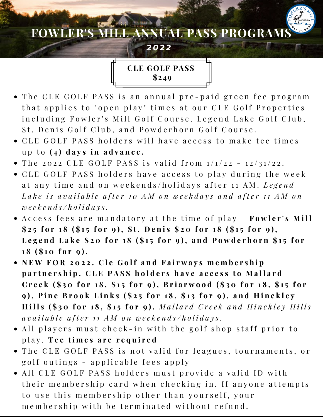# **FOWLER'S MILL ANNUAL PASS PROGRAMS**

*2 0 2 2*

**CLE GOLF PASS \$249**

- The CLE GOLF PASS is an annual pre-paid green fee program that applies to "open play" times at our CLE Golf Properties including Fowler's Mill Golf Course, Legend Lake Golf Club, St. Denis Golf Club, and Powderhorn Golf Course.
- CLE GOLF PASS holders will have access to make tee times u p t o **( 4 ) d a y s i n a d v a n c e .**
- The 2022 CLE GOLF PASS is valid from  $1/1/22 12/31/22$ .
- CLE GOLF PASS holders have access to play during the week at any time and on weekends/holidays after 11 AM. Legend Lake is available after 10 AM on weekdays and after 11 AM on *w e e k e n d s / h o l i d a y s .*
- Access fees are mandatory at the time of play **Fowler's Mill** \$25 for 18 (\$15 for 9), St. Denis \$20 for 18 (\$15 for 9), Legend Lake \$20 for 18 (\$15 for 9), and Powderhorn \$15 for **1 8 ( \$ 1 0 f o r 9 ) .**
- NEW FOR 2022. Cle Golf and Fairways membership partnership. CLE PASS holders have access to Mallard Creek (\$30 for 18, \$15 for 9), Briarwood (\$30 for 18, \$15 for 9), Pine Brook Links (\$25 for 18, \$13 for 9), and Hinckley Hills (\$30 for 18, \$15 for 9). Mallard Creek and Hinckley Hills available after 11 AM on weekends/holidays.
- All players must check-in with the golf shop staff prior to p l a y . **T e e t i m e s a r e r e q u i r e d**
- The CLE GOLF PASS is not valid for leagues, tournaments, or golf outings - applicable fees apply
- All CLE GOLF PASS holders must provide a valid ID with their membership card when checking in. If anyone attempts to use this membership other than yourself, your membership with be terminated without refund.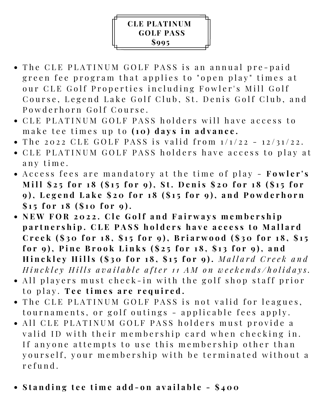## **CLE PLATINUM GOLF PASS \$995**

- The CLE PLATINUM GOLF PASS is an annual pre-paid green fee program that applies to "open play" times at our CLE Golf Properties including Fowler's Mill Golf Course, Legend Lake Golf Club, St. Denis Golf Club, and Powderhorn Golf Course.
- CLE PLATINUM GOLF PASS holders will have access to make tee times up to (10) days in advance.
- The 2022 CLE GOLF PASS is valid from  $1/1/22 12/31/22$ .
- CLE PLATINUM GOLF PASS holders have access to play at any time.
- Access fees are mandatory at the time of play **Fowler's** Mill \$25 for 18 (\$15 for 9), St. Denis \$20 for 18 (\$15 for 9), Legend Lake \$20 for 18 (\$15 for 9), and Powderhorn  $$15$  for  $18$  (\$10 for 9).
- NEW FOR 2022. Cle Golf and Fairways membership partnership. CLE PASS holders have access to Mallard Creek (\$30 for 18, \$15 for 9), Briarwood (\$30 for 18, \$15 for 9), Pine Brook Links (\$25 for 18, \$13 for 9), and Hinckley Hills (\$30 for 18, \$15 for 9). Mallard Creek and Hinckley Hills available after 11 AM on weekends/holidays.
- All players must check-in with the golf shop staff prior to play. Tee times are required.
- The CLE PLATINUM GOLF PASS is not valid for leagues, tournaments, or golf outings - applicable fees apply.
- All CLE PLATINUM GOLF PASS holders must provide a valid ID with their membership card when checking in. If anyone attempts to use this membership other than yourself, your membership with be terminated without a r e fund.
- Standing tee time add-on available \$400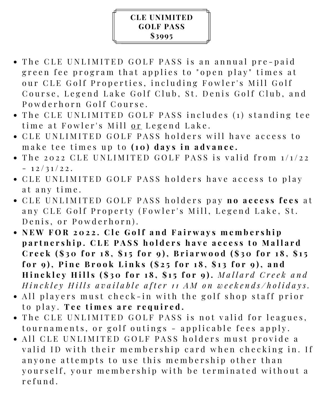#### **CLE UNIMITED GOLF PASS \$3995**

- The CLE UNLIMITED GOLF PASS is an annual pre-paid green fee program that applies to "open play" times at our CLE Golf Properties, including Fowler's Mill Golf Course, Legend Lake Golf Club, St. Denis Golf Club, and Powderhorn Golf Course.
- The CLE UNLIMITED GOLF PASS includes (1) standing tee time at Fowler's Mill or Legend Lake.
- CLE UNLIMITED GOLF PASS holders will have access to m a k e t e e t i m e s u p t o **( 1 0 ) d a y s i n a d v a n c e .**
- $\bullet$  The 2022 CLE UNLIMITED GOLF PASS is valid from  $1/1/22$  $-12/31/22$ .
- CLE UNLIMITED GOLF PASS holders have access to play at any time.
- C L E U N L I M I T E D G O L F P A S S h o l d e r s p a y **n o a c c e s s f e e s** a t any CLE Golf Property (Fowler's Mill, Legend Lake, St. Denis, or Powderhorn).
- NEW FOR 2022. Cle Golf and Fairways membership partnership. CLE PASS holders have access to Mallard Creek  $(\$30$  for  $18$ ,  $\$15$  for 9), Briarwood  $(\$30$  for  $18$ ,  $\$15$ for 9), Pine Brook Links (\$25 for 18, \$13 for 9), and Hinckley Hills (\$30 for 18, \$15 for 9). Mallard Creek and Hinckley Hills available after 11 AM on weekends/holidays.
- All players must check-in with the golf shop staff prior to play. Tee times are required.
- The CLE UNLIMITED GOLF PASS is not valid for leagues, tournaments, or golf outings - applicable fees apply.
- All CLE UNLIMITED GOLF PASS holders must provide a valid ID with their membership card when checking in. If anyone attempts to use this membership other than yourself, your membership with be terminated without a r e fund.